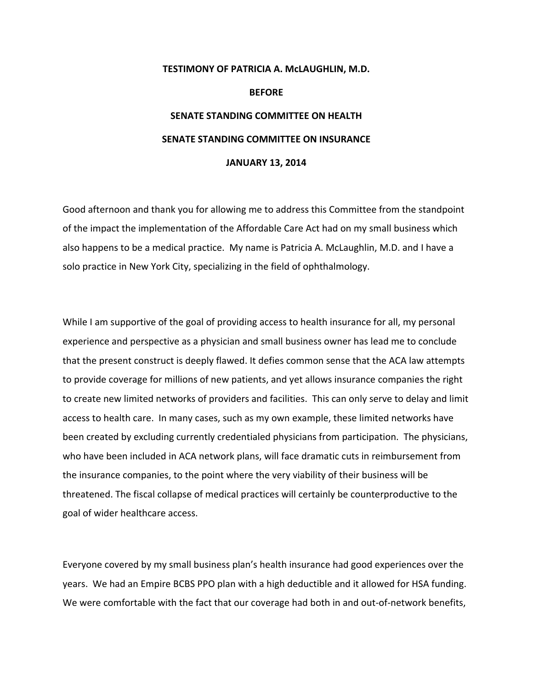## **TESTIMONY OF PATRICIA A. McLAUGHLIN, M.D. BEFORE SENATE STANDING COMMITTEE ON HEALTH SENATE STANDING COMMITTEE ON INSURANCE JANUARY 13, 2014**

Good afternoon and thank you for allowing me to address this Committee from the standpoint of the impact the implementation of the Affordable Care Act had on my small business which also happens to be a medical practice. My name is Patricia A. McLaughlin, M.D. and I have a solo practice in New York City, specializing in the field of ophthalmology.

While I am supportive of the goal of providing access to health insurance for all, my personal experience and perspective as a physician and small business owner has lead me to conclude that the present construct is deeply flawed. It defies common sense that the ACA law attempts to provide coverage for millions of new patients, and yet allows insurance companies the right to create new limited networks of providers and facilities. This can only serve to delay and limit access to health care. In many cases, such as my own example, these limited networks have been created by excluding currently credentialed physicians from participation. The physicians, who have been included in ACA network plans, will face dramatic cuts in reimbursement from the insurance companies, to the point where the very viability of their business will be threatened. The fiscal collapse of medical practices will certainly be counterproductive to the goal of wider healthcare access.

Everyone covered by my small business plan's health insurance had good experiences over the years. We had an Empire BCBS PPO plan with a high deductible and it allowed for HSA funding. We were comfortable with the fact that our coverage had both in and out-of-network benefits,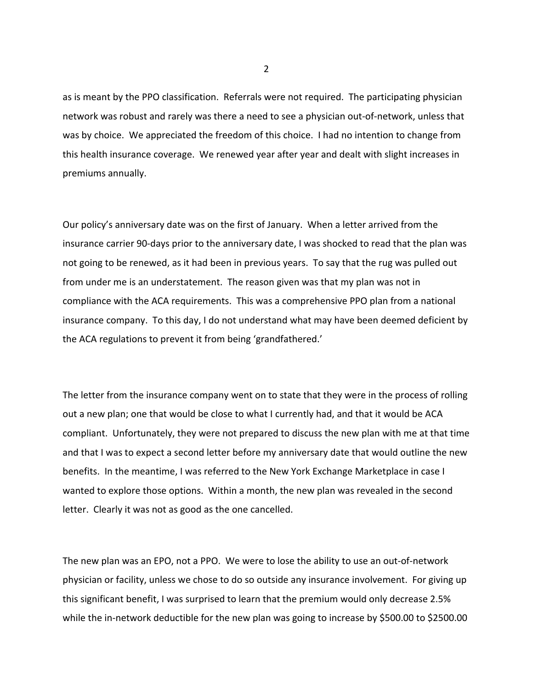as is meant by the PPO classification. Referrals were not required. The participating physician network was robust and rarely was there a need to see a physician out‐of‐network, unless that was by choice. We appreciated the freedom of this choice. I had no intention to change from this health insurance coverage. We renewed year after year and dealt with slight increases in premiums annually.

Our policy's anniversary date was on the first of January. When a letter arrived from the insurance carrier 90‐days prior to the anniversary date, I was shocked to read that the plan was not going to be renewed, as it had been in previous years. To say that the rug was pulled out from under me is an understatement. The reason given was that my plan was not in compliance with the ACA requirements. This was a comprehensive PPO plan from a national insurance company. To this day, I do not understand what may have been deemed deficient by the ACA regulations to prevent it from being 'grandfathered.'

The letter from the insurance company went on to state that they were in the process of rolling out a new plan; one that would be close to what I currently had, and that it would be ACA compliant. Unfortunately, they were not prepared to discuss the new plan with me at that time and that I was to expect a second letter before my anniversary date that would outline the new benefits. In the meantime, I was referred to the New York Exchange Marketplace in case I wanted to explore those options. Within a month, the new plan was revealed in the second letter. Clearly it was not as good as the one cancelled.

The new plan was an EPO, not a PPO. We were to lose the ability to use an out‐of‐network physician or facility, unless we chose to do so outside any insurance involvement. For giving up this significant benefit, I was surprised to learn that the premium would only decrease 2.5% while the in-network deductible for the new plan was going to increase by \$500.00 to \$2500.00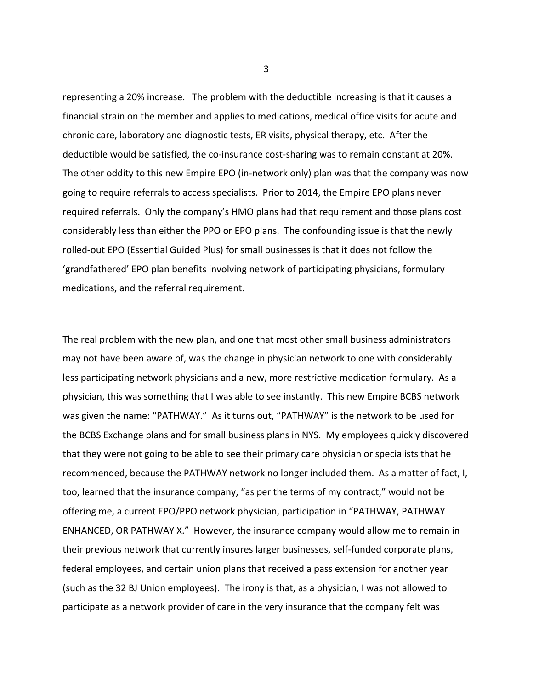representing a 20% increase. The problem with the deductible increasing is that it causes a financial strain on the member and applies to medications, medical office visits for acute and chronic care, laboratory and diagnostic tests, ER visits, physical therapy, etc. After the deductible would be satisfied, the co-insurance cost-sharing was to remain constant at 20%. The other oddity to this new Empire EPO (in-network only) plan was that the company was now going to require referrals to access specialists. Prior to 2014, the Empire EPO plans never required referrals. Only the company's HMO plans had that requirement and those plans cost considerably less than either the PPO or EPO plans. The confounding issue is that the newly rolled‐out EPO (Essential Guided Plus) for small businesses is that it does not follow the 'grandfathered' EPO plan benefits involving network of participating physicians, formulary medications, and the referral requirement.

The real problem with the new plan, and one that most other small business administrators may not have been aware of, was the change in physician network to one with considerably less participating network physicians and a new, more restrictive medication formulary. As a physician, this was something that I was able to see instantly. This new Empire BCBS network was given the name: "PATHWAY." As it turns out, "PATHWAY" is the network to be used for the BCBS Exchange plans and for small business plans in NYS. My employees quickly discovered that they were not going to be able to see their primary care physician or specialists that he recommended, because the PATHWAY network no longer included them. As a matter of fact, I, too, learned that the insurance company, "as per the terms of my contract," would not be offering me, a current EPO/PPO network physician, participation in "PATHWAY, PATHWAY ENHANCED, OR PATHWAY X." However, the insurance company would allow me to remain in their previous network that currently insures larger businesses, self‐funded corporate plans, federal employees, and certain union plans that received a pass extension for another year (such as the 32 BJ Union employees). The irony is that, as a physician, I was not allowed to participate as a network provider of care in the very insurance that the company felt was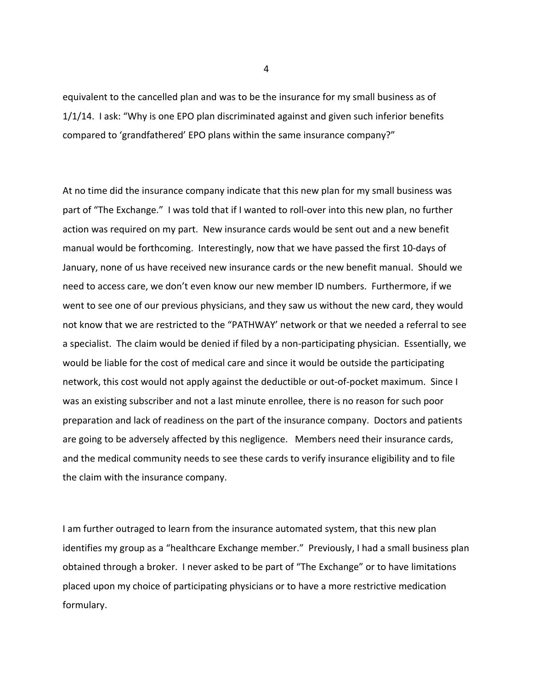equivalent to the cancelled plan and was to be the insurance for my small business as of 1/1/14. I ask: "Why is one EPO plan discriminated against and given such inferior benefits compared to 'grandfathered' EPO plans within the same insurance company?"

At no time did the insurance company indicate that this new plan for my small business was part of "The Exchange." I was told that if I wanted to roll-over into this new plan, no further action was required on my part. New insurance cards would be sent out and a new benefit manual would be forthcoming. Interestingly, now that we have passed the first 10‐days of January, none of us have received new insurance cards or the new benefit manual. Should we need to access care, we don't even know our new member ID numbers. Furthermore, if we went to see one of our previous physicians, and they saw us without the new card, they would not know that we are restricted to the "PATHWAY' network or that we needed a referral to see a specialist. The claim would be denied if filed by a non-participating physician. Essentially, we would be liable for the cost of medical care and since it would be outside the participating network, this cost would not apply against the deductible or out‐of‐pocket maximum. Since I was an existing subscriber and not a last minute enrollee, there is no reason for such poor preparation and lack of readiness on the part of the insurance company. Doctors and patients are going to be adversely affected by this negligence. Members need their insurance cards, and the medical community needs to see these cards to verify insurance eligibility and to file the claim with the insurance company.

I am further outraged to learn from the insurance automated system, that this new plan identifies my group as a "healthcare Exchange member." Previously, I had a small business plan obtained through a broker. I never asked to be part of "The Exchange" or to have limitations placed upon my choice of participating physicians or to have a more restrictive medication formulary.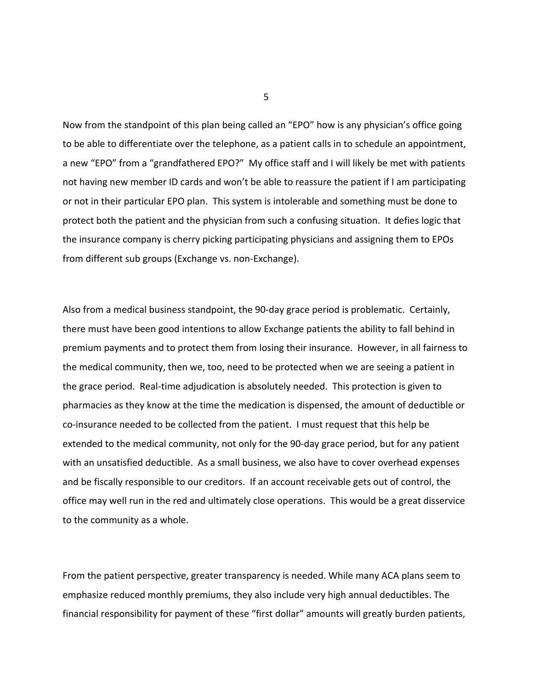Now from the standpoint of this plan being called an "EPO" how is any physician's office going to be able to differentiate over the telephone, as a patient calls in to schedule an appointment, a new "EPO" from a "grandfathered EPO?" My office staff and I will likely be met with patients not having new member ID cards and won't be able to reassure the patient if I am participating or not in their particular EPO plan. This system is intolerable and something must be done to protect both the patient and the physician from such a confusing situation. It defies logic that the insurance company is cherry picking participating physicians and assigning them to EPOs from different sub groups (Exchange vs. non‐Exchange).

Also from a medical business standpoint, the 90‐day grace period is problematic. Certainly, there must have been good intentions to allow Exchange patients the ability to fall behind in premium payments and to protect them from losing their insurance. However, in all fairness to the medical community, then we, too, need to be protected when we are seeing a patient in the grace period. Real‐time adjudication is absolutely needed. This protection is given to pharmacies as they know at the time the medication is dispensed, the amount of deductible or co‐insurance needed to be collected from the patient. I must request that this help be extended to the medical community, not only for the 90‐day grace period, but for any patient with an unsatisfied deductible. As a small business, we also have to cover overhead expenses and be fiscally responsible to our creditors. If an account receivable gets out of control, the office may well run in the red and ultimately close operations. This would be a great disservice to the community as a whole.

From the patient perspective, greater transparency is needed. While many ACA plans seem to emphasize reduced monthly premiums, they also include very high annual deductibles. The financial responsibility for payment of these "first dollar" amounts will greatly burden patients,